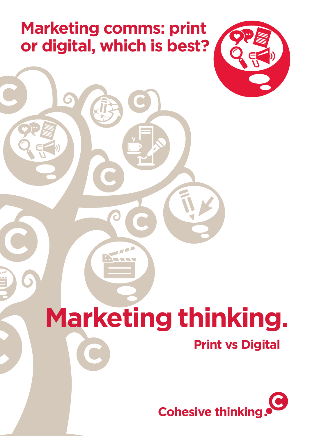## **Marketing comms: print or digital, which is best?**



# **Marketing thinking.**

#### **Print vs Digital**

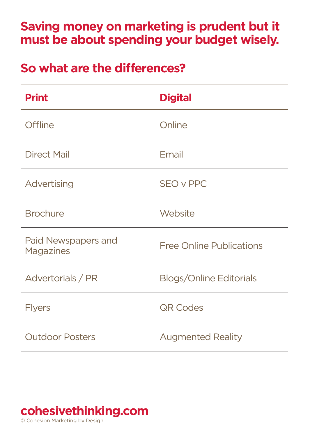#### **Saving money on marketing is prudent but it must be about spending your budget wisely.**

#### **So what are the differences?**

| <b>Print</b>                     | <b>Digital</b>                  |
|----------------------------------|---------------------------------|
| Offline                          | Online                          |
| Direct Mail                      | Email                           |
| Advertising                      | <b>SEO v PPC</b>                |
| <b>Brochure</b>                  | Website                         |
| Paid Newspapers and<br>Magazines | <b>Free Online Publications</b> |
| Advertorials / PR                | <b>Blogs/Online Editorials</b>  |
| Flyers                           | <b>QR Codes</b>                 |
| <b>Outdoor Posters</b>           | <b>Augmented Reality</b>        |

#### **[cohesivethinking.com](http://cohesivethinking.wordpress.com)**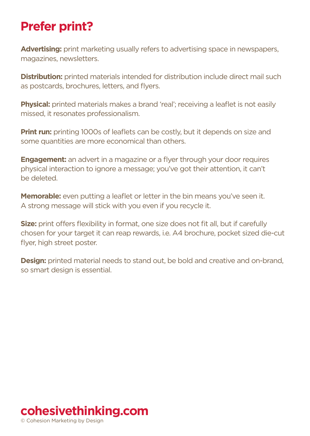#### **Prefer print?**

**Advertising:** print marketing usually refers to advertising space in newspapers, magazines, newsletters.

**Distribution:** printed materials intended for distribution include direct mail such as postcards, brochures, letters, and flyers.

**Physical:** printed materials makes a brand 'real'; receiving a leaflet is not easily missed, it resonates professionalism.

**Print run:** printing 1000s of leaflets can be costly, but it depends on size and some quantities are more economical than others.

**Engagement:** an advert in a magazine or a flyer through your door requires physical interaction to ignore a message; you've got their attention, it can't be deleted.

**Memorable:** even putting a leaflet or letter in the bin means you've seen it. A strong message will stick with you even if you recycle it.

**Size:** print offers flexibility in format, one size does not fit all, but if carefully chosen for your target it can reap rewards, i.e. A4 brochure, pocket sized die-cut flyer, high street poster.

**Design:** printed material needs to stand out, be bold and creative and on-brand, so smart design is essential.

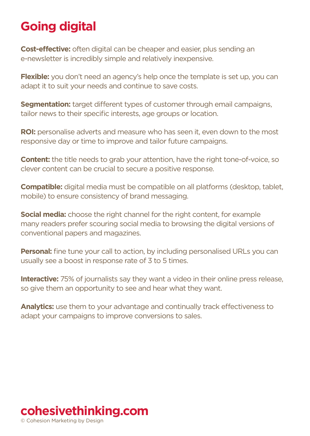### **Going digital**

**Cost-effective:** often digital can be cheaper and easier, plus sending an e-newsletter is incredibly simple and relatively inexpensive.

**Flexible:** you don't need an agency's help once the template is set up, you can adapt it to suit your needs and continue to save costs.

**Segmentation:** target different types of customer through email campaigns. tailor news to their specific interests, age groups or location.

**ROI:** personalise adverts and measure who has seen it, even down to the most responsive day or time to improve and tailor future campaigns.

**Content:** the title needs to grab your attention, have the right tone-of-voice, so clever content can be crucial to secure a positive response.

**Compatible:** digital media must be compatible on all platforms (desktop, tablet, mobile) to ensure consistency of brand messaging.

**Social media:** choose the right channel for the right content, for example many readers prefer scouring social media to browsing the digital versions of conventional papers and magazines.

**Personal:** fine tune your call to action, by including personalised URLs you can usually see a boost in response rate of 3 to 5 times.

**Interactive:** 75% of journalists say they want a video in their online press release, so give them an opportunity to see and hear what they want.

**Analytics:** use them to your advantage and continually track effectiveness to adapt your campaigns to improve conversions to sales.

#### **[cohesivethinking.com](http://cohesivethinking.wordpress.com)**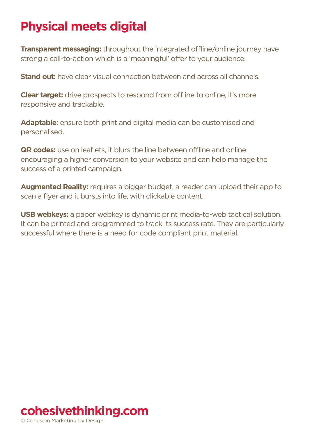#### **Physical meets digital**

**Transparent messaging: throughout the integrated offline/online journey have** strong a call-to-action which is a 'meaningful' offer to your audience.

**Stand out:** have clear visual connection between and across all channels.

**Clear target:** drive prospects to respond from offline to online, it's more responsive and trackable.

**Adaptable:** ensure both print and digital media can be customised and personalised.

**QR codes:** use on leaflets, it blurs the line between offline and online encouraging a higher conversion to your website and can help manage the success of a printed campaign.

**Augmented Reality:** requires a bigger budget, a reader can upload their app to scan a flyer and it bursts into life, with clickable content.

**USB webkeys:** a paper webkey is dynamic print media-to-web tactical solution. It can be printed and programmed to track its success rate. They are particularly successful where there is a need for code compliant print material.